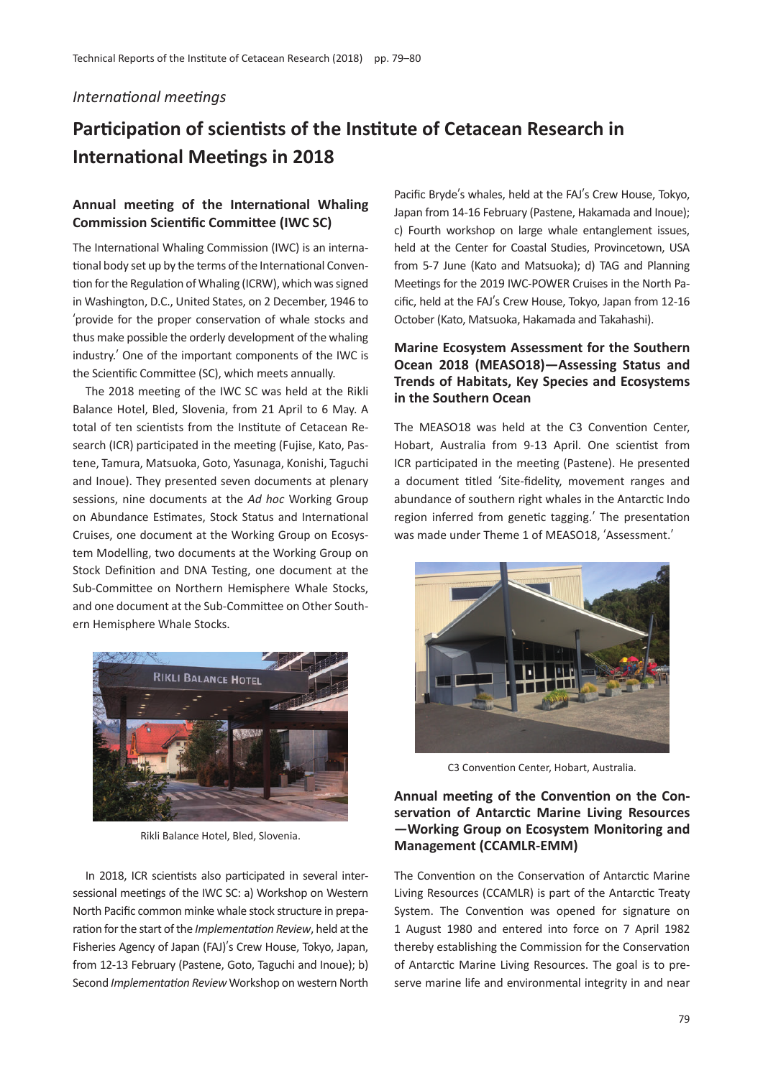#### *International meetings*

# **Participation of scientists of the Institute of Cetacean Research in International Meetings in 2018**

# **Annual meeting of the International Whaling Commission Scientific Committee (IWC SC)**

The International Whaling Commission (IWC) is an international body set up by the terms of the International Convention for the Regulation of Whaling (ICRW), which was signed in Washington, D.C., United States, on 2 December, 1946 to ʻprovide for the proper conservation of whale stocks and thus make possible the orderly development of the whaling industry.' One of the important components of the IWC is the Scientific Committee (SC), which meets annually.

The 2018 meeting of the IWC SC was held at the Rikli Balance Hotel, Bled, Slovenia, from 21 April to 6 May. A total of ten scientists from the Institute of Cetacean Research (ICR) participated in the meeting (Fujise, Kato, Pastene, Tamura, Matsuoka, Goto, Yasunaga, Konishi, Taguchi and Inoue). They presented seven documents at plenary sessions, nine documents at the *Ad hoc* Working Group on Abundance Estimates, Stock Status and International Cruises, one document at the Working Group on Ecosystem Modelling, two documents at the Working Group on Stock Definition and DNA Testing, one document at the Sub-Committee on Northern Hemisphere Whale Stocks, and one document at the Sub-Committee on Other Southern Hemisphere Whale Stocks.



Rikli Balance Hotel, Bled, Slovenia.

In 2018, ICR scientists also participated in several intersessional meetings of the IWC SC: a) Workshop on Western North Pacific common minke whale stock structure in preparation for the start of the *Implementation Review*, held at the Fisheries Agency of Japan (FAJ)'s Crew House, Tokyo, Japan, from 12-13 February (Pastene, Goto, Taguchi and Inoue); b) Second *Implementation Review* Workshop on western North Pacific Bryde's whales, held at the FAJ's Crew House, Tokyo, Japan from 14-16 February (Pastene, Hakamada and Inoue); c) Fourth workshop on large whale entanglement issues, held at the Center for Coastal Studies, Provincetown, USA from 5-7 June (Kato and Matsuoka); d) TAG and Planning Meetings for the 2019 IWC-POWER Cruises in the North Pacific, held at the FAJ's Crew House, Tokyo, Japan from 12-16 October (Kato, Matsuoka, Hakamada and Takahashi).

#### **Marine Ecosystem Assessment for the Southern Ocean 2018 (MEASO18)—Assessing Status and Trends of Habitats, Key Species and Ecosystems in the Southern Ocean**

The MEASO18 was held at the C3 Convention Center, Hobart, Australia from 9-13 April. One scientist from ICR participated in the meeting (Pastene). He presented a document titled ʻSite-fidelity, movement ranges and abundance of southern right whales in the Antarctic Indo region inferred from genetic tagging.' The presentation was made under Theme 1 of MEASO18, ʻAssessment.'



C3 Convention Center, Hobart, Australia.

## **Annual meeting of the Convention on the Conservation of Antarctic Marine Living Resources —Working Group on Ecosystem Monitoring and Management (CCAMLR-EMM)**

The Convention on the Conservation of Antarctic Marine Living Resources (CCAMLR) is part of the Antarctic Treaty System. The Convention was opened for signature on 1 August 1980 and entered into force on 7 April 1982 thereby establishing the Commission for the Conservation of Antarctic Marine Living Resources. The goal is to preserve marine life and environmental integrity in and near